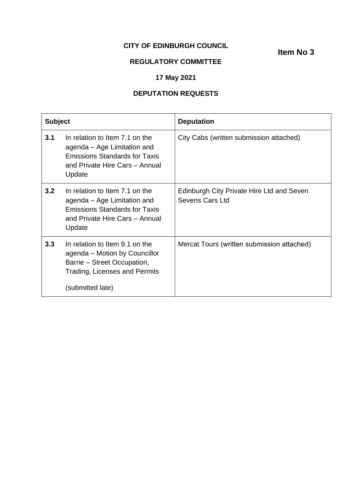## **CITY OF EDINBURGH COUNCIL**

**Item No 3**

# **REGULATORY COMMITTEE**

# **17 May 2021**

## **DEPUTATION REQUESTS**

| <b>Subject</b> |                                                                                                                                                     | <b>Deputation</b>                                            |
|----------------|-----------------------------------------------------------------------------------------------------------------------------------------------------|--------------------------------------------------------------|
| 3.1            | In relation to Item 7.1 on the<br>agenda – Age Limitation and<br><b>Emissions Standards for Taxis</b><br>and Private Hire Cars - Annual<br>Update   | City Cabs (written submission attached)                      |
| 3.2            | In relation to Item 7.1 on the<br>agenda – Age Limitation and<br><b>Emissions Standards for Taxis</b><br>and Private Hire Cars - Annual<br>Update   | Edinburgh City Private Hire Ltd and Seven<br>Sevens Cars Ltd |
| 3.3            | In relation to Item 9.1 on the<br>agenda – Motion by Councillor<br>Barrie – Street Occupation,<br>Trading, Licenses and Permits<br>(submitted late) | Mercat Tours (written submission attached)                   |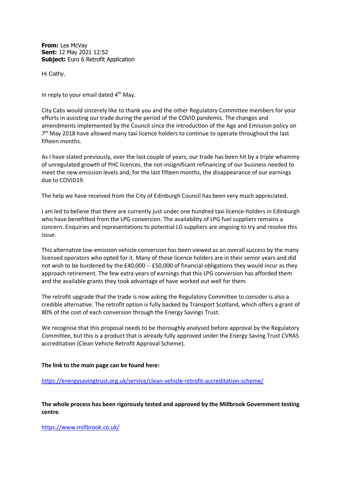**From:** Les McVay **Sent:** 12 May 2021 12:52 **Subject:** Euro 6 Retrofit Application

Hi Cathy,

In reply to your email dated  $4<sup>th</sup>$  May.

City Cabs would sincerely like to thank you and the other Regulatory Committee members for your efforts in assisting our trade during the period of the COVID pandemic. The changes and amendments implemented by the Council since the introduction of the Age and Emission policy on 7<sup>th</sup> May 2018 have allowed many taxi licence holders to continue to operate throughout the last fifteen months.

As I have stated previously, over the last couple of years, our trade has been hit by a triple whammy of unregulated growth of PHC licences, the not-insignificant refinancing of our business needed to meet the new emission levels and, for the last fifteen months, the disappearance of our earnings due to COVID19.

The help we have received from the City of Edinburgh Council has been very much appreciated.

I am led to believe that there are currently just under one hundred taxi licence-holders in Edinburgh who have benefitted from the LPG conversion. The availability of LPG fuel suppliers remains a concern. Enquiries and representations to potential LG suppliers are ongoing to try and resolve this issue.

This alternative low-emission vehicle conversion has been viewed as an overall success by the many licensed operators who opted for it. Many of these licence holders are in their senior years and did not wish to be burdened by the £40,000 -- £50,000 of financial obligations they would incur as they approach retirement. The few extra years of earnings that this LPG conversion has afforded them and the available grants they took advantage of have worked out well for them.

The retrofit upgrade that the trade is now asking the Regulatory Committee to consider is also a credible alternative. The retrofit option is fully backed by Transport Scotland, which offers a grant of 80% of the cost of each conversion through the Energy Savings Trust.

We recognise that this proposal needs to be thoroughly analysed before approval by the Regulatory Committee, but this is a product that is already fully approved under the Energy Saving Trust CVRAS accreditation (Clean Vehicle Retrofit Approval Scheme).

## **The link to the main page can be found here:**

### <https://energysavingtrust.org.uk/service/clean-vehicle-retrofit-accreditation-scheme/>

**The whole process has been rigorously tested and approved by the Millbrook Government testing centre**.

<https://www.millbrook.co.uk/>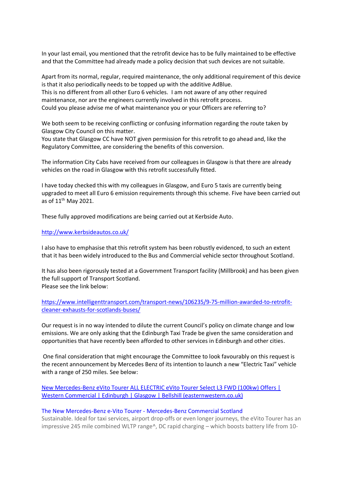In your last email, you mentioned that the retrofit device has to be fully maintained to be effective and that the Committee had already made a policy decision that such devices are not suitable.

Apart from its normal, regular, required maintenance, the only additional requirement of this device is that it also periodically needs to be topped up with the additive AdBlue. This is no different from all other Euro 6 vehicles. I am not aware of any other required maintenance, nor are the engineers currently involved in this retrofit process. Could you please advise me of what maintenance you or your Officers are referring to?

We both seem to be receiving conflicting or confusing information regarding the route taken by Glasgow City Council on this matter.

You state that Glasgow CC have NOT given permission for this retrofit to go ahead and, like the Regulatory Committee, are considering the benefits of this conversion.

The information City Cabs have received from our colleagues in Glasgow is that there are already vehicles on the road in Glasgow with this retrofit successfully fitted.

I have today checked this with my colleagues in Glasgow, and Euro 5 taxis are currently being upgraded to meet all Euro 6 emission requirements through this scheme. Five have been carried out as of 11<sup>th</sup> May 2021.

These fully approved modifications are being carried out at Kerbside Auto.

### <http://www.kerbsideautos.co.uk/>

I also have to emphasise that this retrofit system has been robustly evidenced, to such an extent that it has been widely introduced to the Bus and Commercial vehicle sector throughout Scotland.

It has also been rigorously tested at a Government Transport facility (Millbrook) and has been given the full support of Transport Scotland. Please see the link below:

[https://www.intelligenttransport.com/transport-news/106235/9-75-million-awarded-to-retrofit](https://www.intelligenttransport.com/transport-news/106235/9-75-million-awarded-to-retrofit-cleaner-exhausts-for-scotlands-buses/)[cleaner-exhausts-for-scotlands-buses/](https://www.intelligenttransport.com/transport-news/106235/9-75-million-awarded-to-retrofit-cleaner-exhausts-for-scotlands-buses/)

Our request is in no way intended to dilute the current Council's policy on climate change and low emissions. We are only asking that the Edinburgh Taxi Trade be given the same consideration and opportunities that have recently been afforded to other services in Edinburgh and other cities.

One final consideration that might encourage the Committee to look favourably on this request is the recent announcement by Mercedes Benz of its intention to launch a new "Electric Taxi" vehicle with a range of 250 miles. See below:

[New Mercedes-Benz eVito Tourer ALL ELECTRIC eVito Tourer Select L3 FWD \(100kw\) Offers |](https://www.easternwestern.co.uk/mercedes-commercial/new-vans/Mercedes-Benz/ALL%2520ELECTRIC%2520eVito%2520Tourer%2520Select%2520L3%2520FWD%2520100kw/446/)  [Western Commercial | Edinburgh | Glasgow | Bellshill \(easternwestern.co.uk\)](https://www.easternwestern.co.uk/mercedes-commercial/new-vans/Mercedes-Benz/ALL%2520ELECTRIC%2520eVito%2520Tourer%2520Select%2520L3%2520FWD%2520100kw/446/)

#### [The New Mercedes-Benz e-Vito Tourer -](https://www.easternwestern.co.uk/mercedes-commercial/new-vans/E-Vito-Tourer.php) Mercedes-Benz Commercial Scotland

Sustainable. Ideal for taxi services, airport drop-offs or even longer journeys, the eVito Tourer has an impressive 245 mile combined WLTP range^, DC rapid charging – which boosts battery life from 10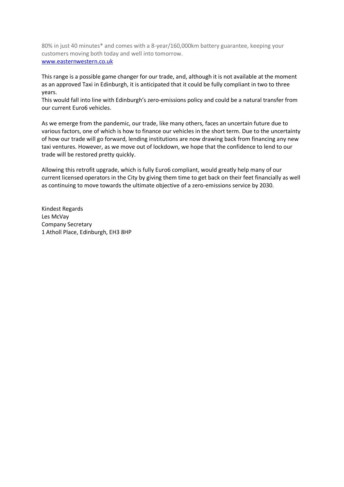80% in just 40 minutes\* and comes with a 8-year/160,000km battery guarantee, keeping your customers moving both today and well into tomorrow. [www.easternwestern.co.uk](http://www.easternwestern.co.uk/)

This range is a possible game changer for our trade, and, although it is not available at the moment as an approved Taxi in Edinburgh, it is anticipated that it could be fully compliant in two to three years.

This would fall into line with Edinburgh's zero-emissions policy and could be a natural transfer from our current Euro6 vehicles.

As we emerge from the pandemic, our trade, like many others, faces an uncertain future due to various factors, one of which is how to finance our vehicles in the short term. Due to the uncertainty of how our trade will go forward, lending institutions are now drawing back from financing any new taxi ventures. However, as we move out of lockdown, we hope that the confidence to lend to our trade will be restored pretty quickly.

Allowing this retrofit upgrade, which is fully Euro6 compliant, would greatly help many of our current licensed operators in the City by giving them time to get back on their feet financially as well as continuing to move towards the ultimate objective of a zero-emissions service by 2030.

Kindest Regards Les McVay Company Secretary 1 Atholl Place, Edinburgh, EH3 8HP